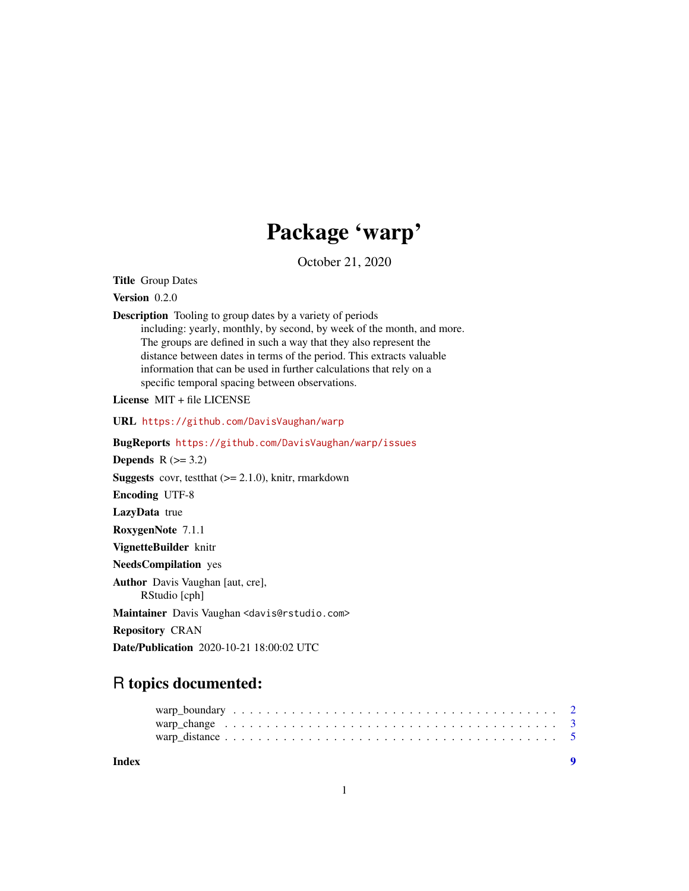## Package 'warp'

October 21, 2020

Title Group Dates

Version 0.2.0

Description Tooling to group dates by a variety of periods including: yearly, monthly, by second, by week of the month, and more. The groups are defined in such a way that they also represent the distance between dates in terms of the period. This extracts valuable information that can be used in further calculations that rely on a

specific temporal spacing between observations.

License MIT + file LICENSE

URL <https://github.com/DavisVaughan/warp>

BugReports <https://github.com/DavisVaughan/warp/issues>

Depends  $R$  ( $>= 3.2$ )

**Suggests** covr, test that  $(>= 2.1.0)$ , knitr, rmarkdown

Encoding UTF-8

LazyData true

RoxygenNote 7.1.1

VignetteBuilder knitr

NeedsCompilation yes

Author Davis Vaughan [aut, cre],

RStudio [cph]

Maintainer Davis Vaughan <davis@rstudio.com>

Repository CRAN

Date/Publication 2020-10-21 18:00:02 UTC

### R topics documented:

| Index |  |
|-------|--|
|       |  |
|       |  |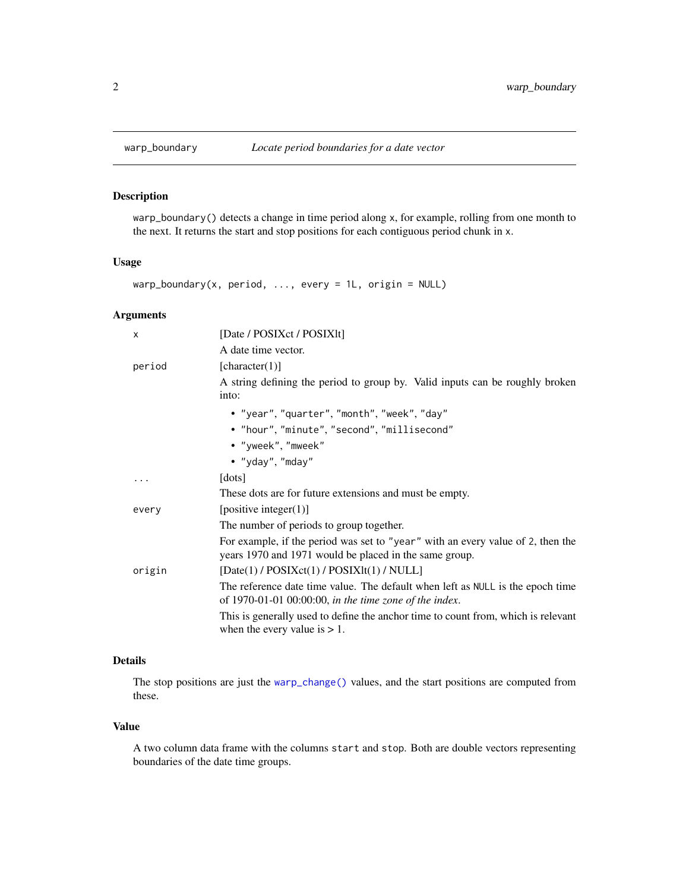<span id="page-1-0"></span>

#### Description

warp\_boundary() detects a change in time period along x, for example, rolling from one month to the next. It returns the start and stop positions for each contiguous period chunk in x.

#### Usage

warp\_boundary(x, period, ..., every = 1L, origin = NULL)

#### Arguments

| $\times$ | [Date / POSIXct / POSIXIt]                                                                                                                |
|----------|-------------------------------------------------------------------------------------------------------------------------------------------|
|          | A date time vector.                                                                                                                       |
| period   | [character(1)]                                                                                                                            |
|          | A string defining the period to group by. Valid inputs can be roughly broken<br>into:                                                     |
|          | • "year", "quarter", "month", "week", "day"                                                                                               |
|          | • "hour", "minute", "second", "millisecond"                                                                                               |
|          | • "yweek", "mweek"                                                                                                                        |
|          | • "yday", "mday"                                                                                                                          |
|          | [dots]                                                                                                                                    |
|          | These dots are for future extensions and must be empty.                                                                                   |
| every    | [positive integer(1)]                                                                                                                     |
|          | The number of periods to group together.                                                                                                  |
|          | For example, if the period was set to "year" with an every value of 2, then the<br>years 1970 and 1971 would be placed in the same group. |
| origin   | $[Date(1) / POSIXct(1) / POSIXIt(1) / NULL]$                                                                                              |
|          | The reference date time value. The default when left as NULL is the epoch time<br>of 1970-01-01 00:00:00, in the time zone of the index.  |
|          | This is generally used to define the anchor time to count from, which is relevant<br>when the every value is $> 1$ .                      |

#### Details

The stop positions are just the [warp\\_change\(\)](#page-2-1) values, and the start positions are computed from these.

#### Value

A two column data frame with the columns start and stop. Both are double vectors representing boundaries of the date time groups.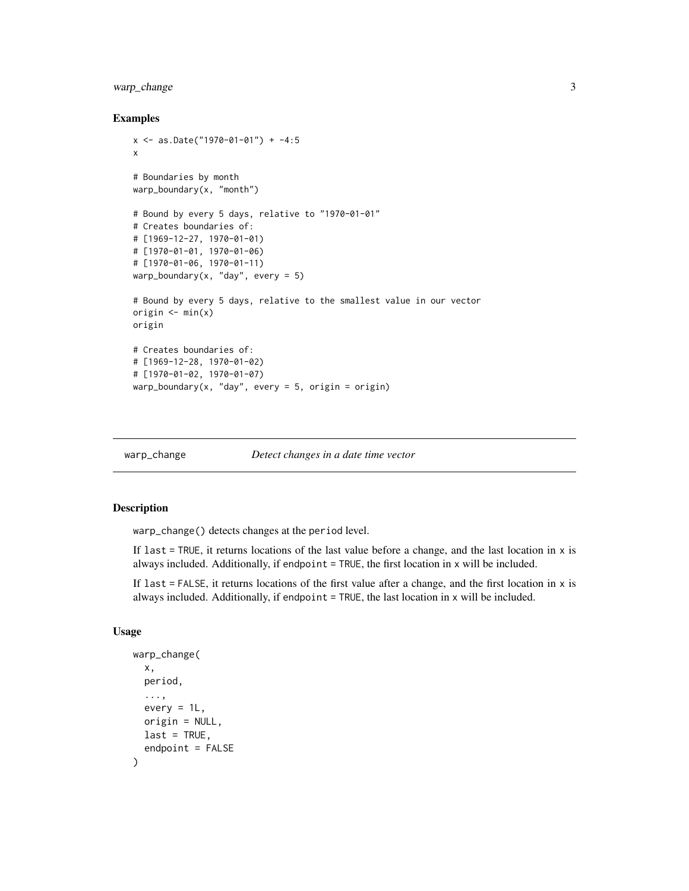#### <span id="page-2-0"></span>warp\_change 3

#### Examples

```
x \le - as.Date("1970-01-01") + -4:5
x
# Boundaries by month
warp_boundary(x, "month")
# Bound by every 5 days, relative to "1970-01-01"
# Creates boundaries of:
# [1969-12-27, 1970-01-01)
# [1970-01-01, 1970-01-06)
# [1970-01-06, 1970-01-11)
warp_boundary(x, "day", every = 5)
# Bound by every 5 days, relative to the smallest value in our vector
origin \leq min(x)origin
# Creates boundaries of:
# [1969-12-28, 1970-01-02)
# [1970-01-02, 1970-01-07)
warp_boundary(x, "day", every = 5, origin = origin)
```
<span id="page-2-1"></span>

warp\_change *Detect changes in a date time vector*

#### Description

warp\_change() detects changes at the period level.

If last = TRUE, it returns locations of the last value before a change, and the last location in x is always included. Additionally, if endpoint = TRUE, the first location in x will be included.

If last  $=$  FALSE, it returns locations of the first value after a change, and the first location in  $x$  is always included. Additionally, if endpoint  $=$  TRUE, the last location in  $x$  will be included.

#### Usage

```
warp_change(
  x,
 period,
  ...,
  every = 1L,
  origin = NULL,
  last = TRUE,endpoint = FALSE)
```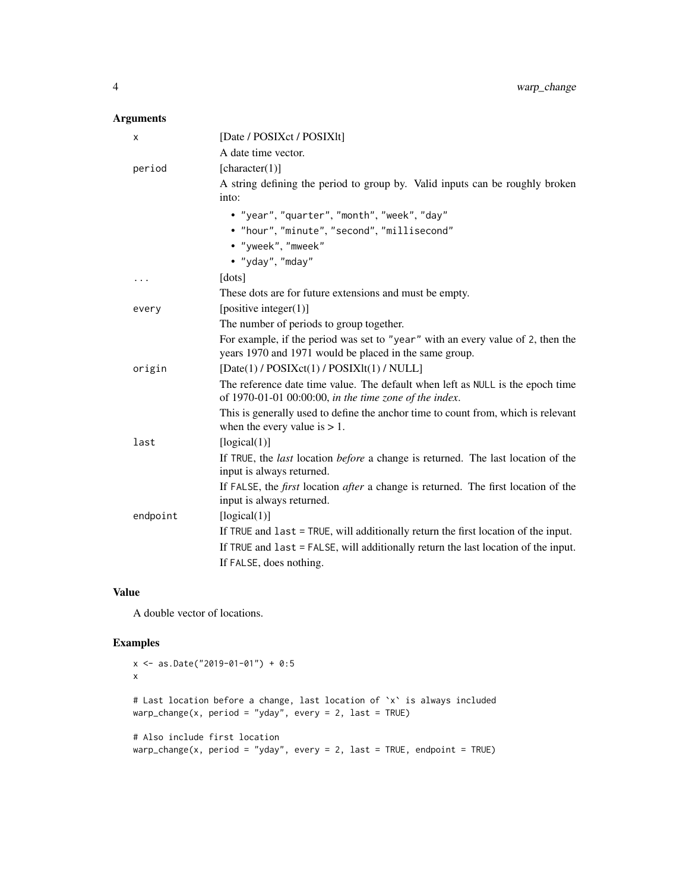#### Arguments

| х        | [Date / POSIXct / POSIX1t]                                                                                                                |
|----------|-------------------------------------------------------------------------------------------------------------------------------------------|
|          | A date time vector.                                                                                                                       |
| period   | [character(1)]                                                                                                                            |
|          | A string defining the period to group by. Valid inputs can be roughly broken<br>into:                                                     |
|          | • "year", "quarter", "month", "week", "day"                                                                                               |
|          | • "hour", "minute", "second", "millisecond"                                                                                               |
|          | · "yweek", "mweek"                                                                                                                        |
|          | • "yday", "mday"                                                                                                                          |
| .        | [dots]                                                                                                                                    |
|          | These dots are for future extensions and must be empty.                                                                                   |
| every    | [positive integer $(1)$ ]                                                                                                                 |
|          | The number of periods to group together.                                                                                                  |
|          | For example, if the period was set to "year" with an every value of 2, then the<br>years 1970 and 1971 would be placed in the same group. |
| origin   | [Date(1) / POSIXct(1) / POSIXlt(1) / NULL]                                                                                                |
|          | The reference date time value. The default when left as NULL is the epoch time<br>of 1970-01-01 00:00:00, in the time zone of the index.  |
|          | This is generally used to define the anchor time to count from, which is relevant<br>when the every value is $> 1$ .                      |
| last     | [logical(1)]                                                                                                                              |
|          | If TRUE, the <i>last</i> location <i>before</i> a change is returned. The last location of the<br>input is always returned.               |
|          | If FALSE, the <i>first</i> location <i>after</i> a change is returned. The first location of the<br>input is always returned.             |
| endpoint | [logical(1)]                                                                                                                              |
|          | If TRUE and $last = TRUE$ , will additionally return the first location of the input.                                                     |
|          | If TRUE and last = FALSE, will additionally return the last location of the input.                                                        |
|          | If FALSE, does nothing.                                                                                                                   |

#### Value

A double vector of locations.

#### Examples

```
x <- as.Date("2019-01-01") + 0:5
x
# Last location before a change, last location of `x` is always included
warp_change(x, period = "yday", every = 2, last = TRUE)
# Also include first location
warp\_change(x, period = "yday", every = 2, last = TRUE, endpoint = TRUE)
```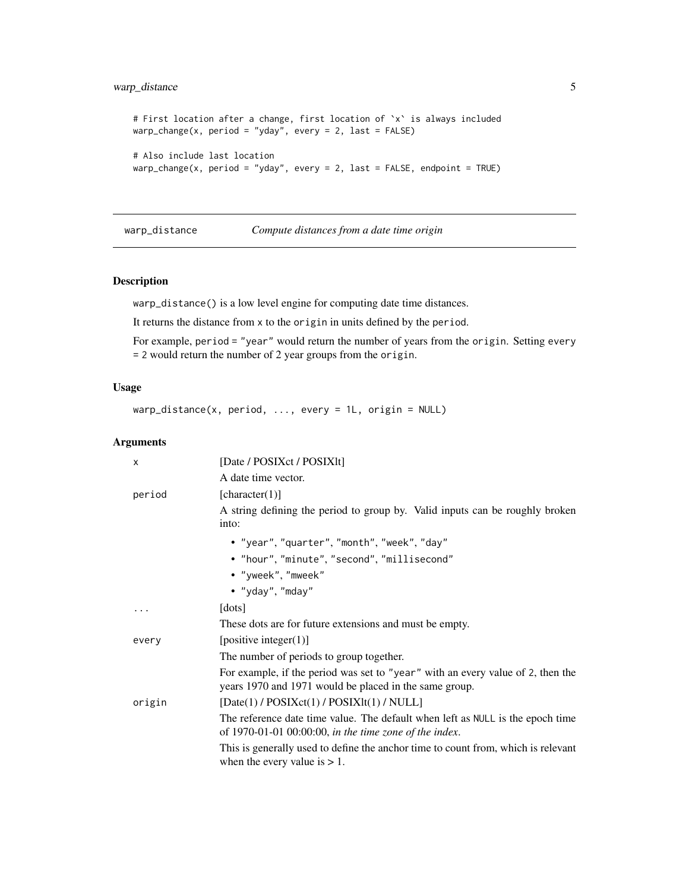#### <span id="page-4-0"></span>warp\_distance 5

```
# First location after a change, first location of `x` is always included
warp_change(x, period = "yday", every = 2, last = FALSE)
# Also include last location
warp\_change(x, period = "yday", every = 2, last = FALSE, endpoint = TRUE)
```
warp\_distance *Compute distances from a date time origin*

#### Description

warp\_distance() is a low level engine for computing date time distances.

It returns the distance from x to the origin in units defined by the period.

For example, period = "year" would return the number of years from the origin. Setting every = 2 would return the number of 2 year groups from the origin.

#### Usage

 $warp\_distance(x, period, ..., every = 1L, origin = NULL)$ 

#### Arguments

| X      | [Date / POSIXct / POSIXlt]                                                                                                                |
|--------|-------------------------------------------------------------------------------------------------------------------------------------------|
|        | A date time vector.                                                                                                                       |
| period | [character(1)]                                                                                                                            |
|        | A string defining the period to group by. Valid inputs can be roughly broken<br>into:                                                     |
|        | • "year", "quarter", "month", "week", "day"                                                                                               |
|        | • "hour", "minute", "second", "millisecond"                                                                                               |
|        | • "yweek", "mweek"                                                                                                                        |
|        | • "yday", "mday"                                                                                                                          |
| .      | [dots]                                                                                                                                    |
|        | These dots are for future extensions and must be empty.                                                                                   |
| every  | [positive integer(1)]                                                                                                                     |
|        | The number of periods to group together.                                                                                                  |
|        | For example, if the period was set to "year" with an every value of 2, then the<br>years 1970 and 1971 would be placed in the same group. |
| origin | $[Date(1) / POSIXct(1) / POSIXIt(1) / NULL]$                                                                                              |
|        | The reference date time value. The default when left as NULL is the epoch time<br>of 1970-01-01 00:00:00, in the time zone of the index.  |
|        | This is generally used to define the anchor time to count from, which is relevant<br>when the every value is $> 1$ .                      |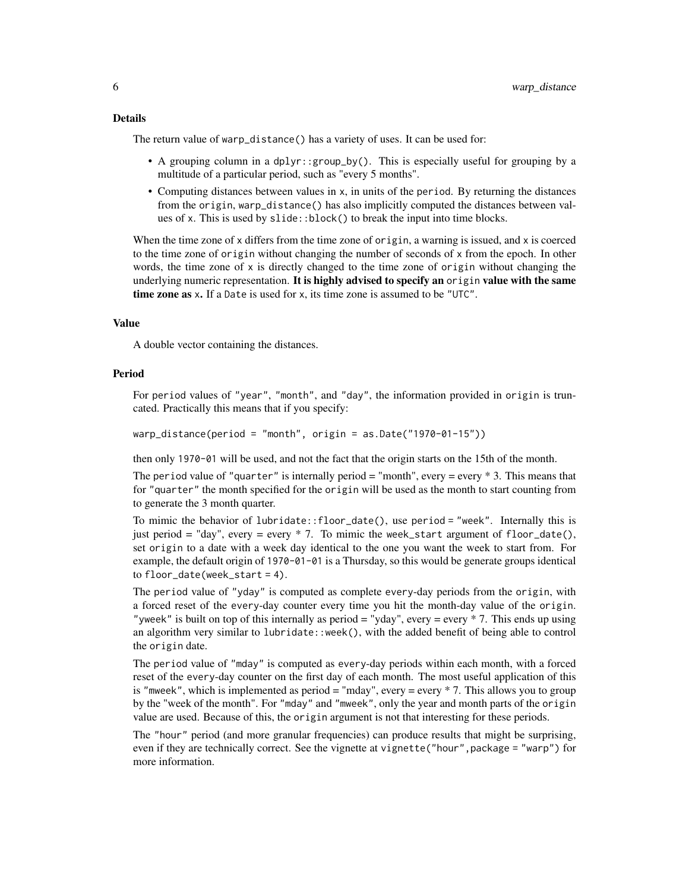The return value of warp\_distance() has a variety of uses. It can be used for:

- A grouping column in a dplyr::group\_by(). This is especially useful for grouping by a multitude of a particular period, such as "every 5 months".
- Computing distances between values in x, in units of the period. By returning the distances from the origin, warp\_distance() has also implicitly computed the distances between values of x. This is used by slide::block() to break the input into time blocks.

When the time zone of x differs from the time zone of origin, a warning is issued, and x is coerced to the time zone of origin without changing the number of seconds of x from the epoch. In other words, the time zone of  $x$  is directly changed to the time zone of origin without changing the underlying numeric representation. It is highly advised to specify an origin value with the same time zone as x. If a Date is used for x, its time zone is assumed to be "UTC".

#### Value

A double vector containing the distances.

#### Period

For period values of "year", "month", and "day", the information provided in origin is truncated. Practically this means that if you specify:

warp\_distance(period = "month", origin = as.Date("1970-01-15"))

then only 1970-01 will be used, and not the fact that the origin starts on the 15th of the month.

The period value of "quarter" is internally period  $=$  "month", every  $=$  every  $*$  3. This means that for "quarter" the month specified for the origin will be used as the month to start counting from to generate the 3 month quarter.

To mimic the behavior of lubridate::floor\_date(), use period = "week". Internally this is just period = "day", every = every  $*$  7. To mimic the week\_start argument of floor\_date(), set origin to a date with a week day identical to the one you want the week to start from. For example, the default origin of 1970-01-01 is a Thursday, so this would be generate groups identical to floor\_date(week\_start = 4).

The period value of "yday" is computed as complete every-day periods from the origin, with a forced reset of the every-day counter every time you hit the month-day value of the origin. "yweek" is built on top of this internally as period = "yday", every = every \* 7. This ends up using an algorithm very similar to lubridate::week(), with the added benefit of being able to control the origin date.

The period value of "mday" is computed as every-day periods within each month, with a forced reset of the every-day counter on the first day of each month. The most useful application of this is "mweek", which is implemented as period = "mday", every = every \* 7. This allows you to group by the "week of the month". For "mday" and "mweek", only the year and month parts of the origin value are used. Because of this, the origin argument is not that interesting for these periods.

The "hour" period (and more granular frequencies) can produce results that might be surprising, even if they are technically correct. See the vignette at vignette ("hour", package = "warp") for more information.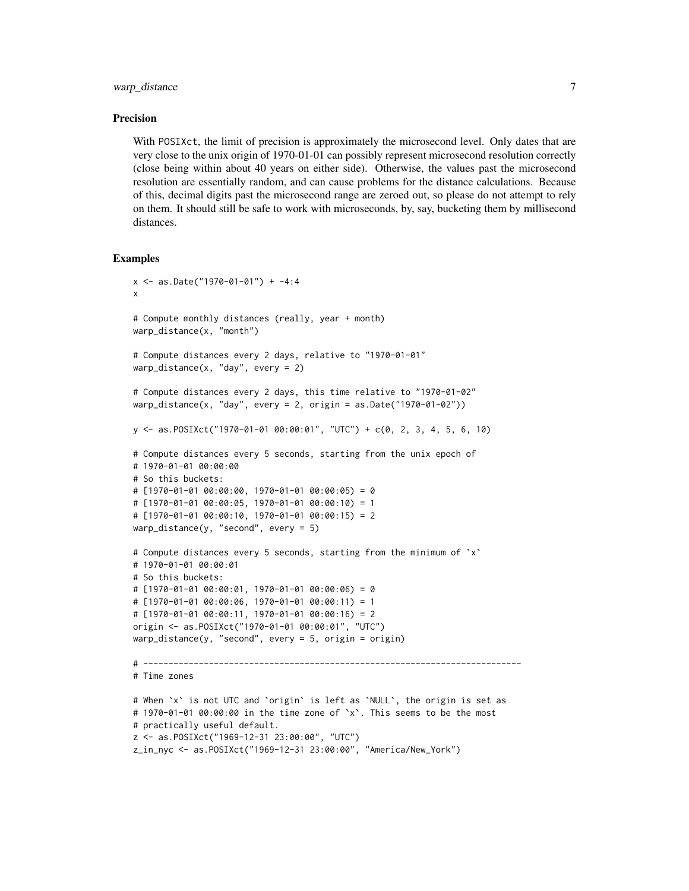#### warp\_distance 7 7

#### Precision

With POSIXct, the limit of precision is approximately the microsecond level. Only dates that are very close to the unix origin of 1970-01-01 can possibly represent microsecond resolution correctly (close being within about 40 years on either side). Otherwise, the values past the microsecond resolution are essentially random, and can cause problems for the distance calculations. Because of this, decimal digits past the microsecond range are zeroed out, so please do not attempt to rely on them. It should still be safe to work with microseconds, by, say, bucketing them by millisecond distances.

#### Examples

```
x <- as.Date("1970-01-01") + -4:4
x
# Compute monthly distances (really, year + month)
warp_distance(x, "month")
# Compute distances every 2 days, relative to "1970-01-01"
warp_distance(x, "day", every = 2)
# Compute distances every 2 days, this time relative to "1970-01-02"
warp_distance(x, "day", every = 2, origin = as.Date("1970-01-02"))
y <- as.POSIXct("1970-01-01 00:00:01", "UTC") + c(0, 2, 3, 4, 5, 6, 10)
# Compute distances every 5 seconds, starting from the unix epoch of
# 1970-01-01 00:00:00
# So this buckets:
# [1970-01-01 00:00:00, 1970-01-01 00:00:05) = 0
# [1970-01-01 00:00:05, 1970-01-01 00:00:10) = 1
# [1970-01-01 00:00:10, 1970-01-01 00:00:15) = 2
warp_distance(y, "second", every = 5)
# Compute distances every 5 seconds, starting from the minimum of `x`
# 1970-01-01 00:00:01
# So this buckets:
# [1970-01-01 00:00:01, 1970-01-01 00:00:06) = 0
# [1970-01-01 00:00:06, 1970-01-01 00:00:11) = 1
# [1970-01-01 00:00:11, 1970-01-01 00:00:16) = 2
origin <- as.POSIXct("1970-01-01 00:00:01", "UTC")
warp_distance(y, "second", every = 5, origin = origin)
# ---------------------------------------------------------------------------
# Time zones
# When `x` is not UTC and `origin` is left as `NULL`, the origin is set as
# 1970-01-01 00:00:00 in the time zone of `x`. This seems to be the most
# practically useful default.
z <- as.POSIXct("1969-12-31 23:00:00", "UTC")
z_in_nyc <- as.POSIXct("1969-12-31 23:00:00", "America/New_York")
```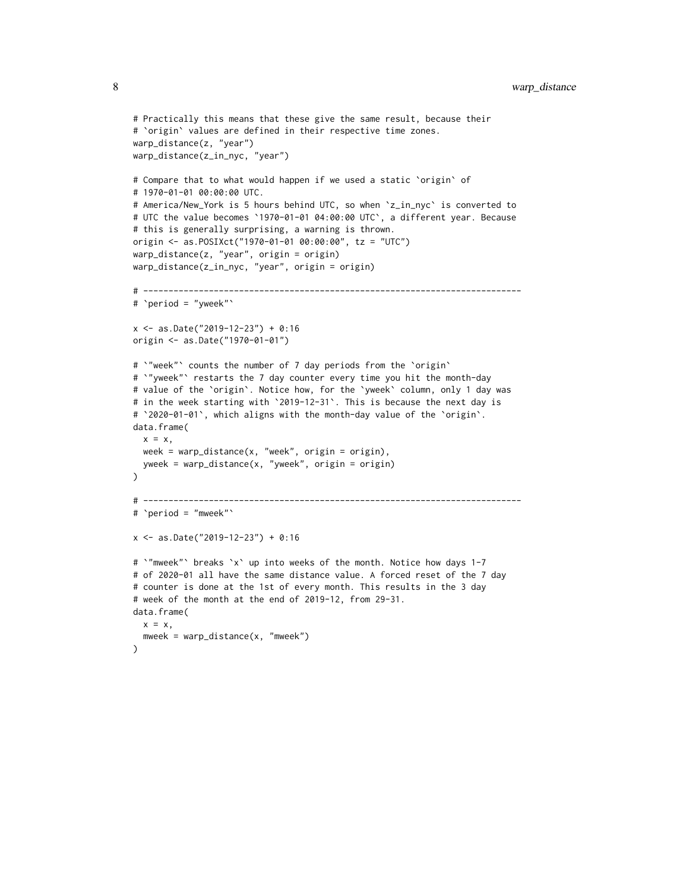```
# Practically this means that these give the same result, because their
# `origin` values are defined in their respective time zones.
warp_distance(z, "year")
warp_distance(z_in_nyc, "year")
# Compare that to what would happen if we used a static `origin` of
# 1970-01-01 00:00:00 UTC.
# America/New_York is 5 hours behind UTC, so when `z_in_nyc` is converted to
# UTC the value becomes `1970-01-01 04:00:00 UTC`, a different year. Because
# this is generally surprising, a warning is thrown.
origin <- as.POSIXct("1970-01-01 00:00:00", tz = "UTC")
warp_distance(z, "year", origin = origin)
warp_distance(z_in_nyc, "year", origin = origin)
# ---------------------------------------------------------------------------
# `period = "yweek"`
x <- as.Date("2019-12-23") + 0:16
origin <- as.Date("1970-01-01")
# `"week"` counts the number of 7 day periods from the `origin`
# `"yweek"` restarts the 7 day counter every time you hit the month-day
# value of the `origin`. Notice how, for the `yweek` column, only 1 day was
# in the week starting with `2019-12-31`. This is because the next day is
# `2020-01-01`, which aligns with the month-day value of the `origin`.
data.frame(
  x = x,
  week = warp_distance(x, "week", origin = origin),
  yweek = warp_distance(x, "yweek", origin = origin)
\lambda# ---------------------------------------------------------------------------
# `period = "mweek"`
x <- as.Date("2019-12-23") + 0:16
# `"mweek"` breaks `x` up into weeks of the month. Notice how days 1-7
# of 2020-01 all have the same distance value. A forced reset of the 7 day
# counter is done at the 1st of every month. This results in the 3 day
# week of the month at the end of 2019-12, from 29-31.
data.frame(
 x = x,
 mweek = warp_distance(x, "mweek")
)
```